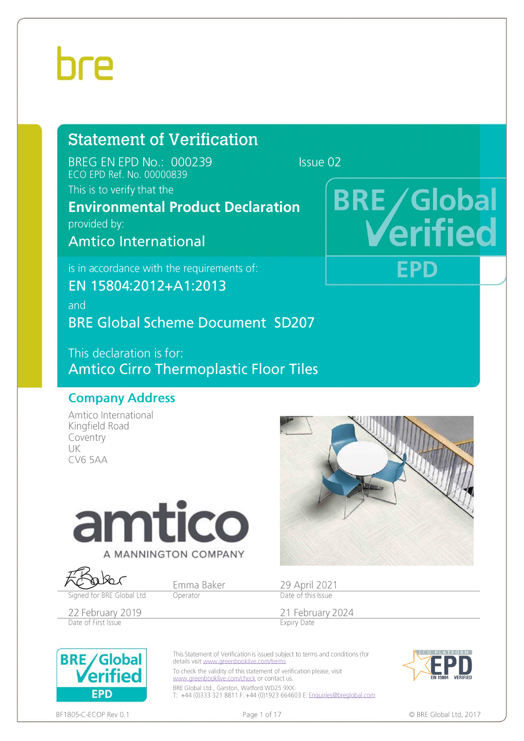### **Statement of Verification**

BREG EN EPD No.: 000239 ECO EPD Ref. No. 00000839 This is to verify that the

Issue 02

### **Environmental Product Declaration**

provided by:

Amtico International

is in accordance with the requirements of:

EN 15804:2012+A1:2013

and

**BRE Global Scheme Document SD207** 

This declaration is for: **Amtico Cirro Thermoplastic Floor Tiles** 

#### **Company Address**

Amtico International Kingfield Road Coventry UK **CV6 5AA** 



#### A MANNINGTON COMPANY

Signed for BRE Global Ltd

Emma Baker

Operator

22 February 2019 Date of First Issue



**BRE/Global** 

**EPD** 

**THe** 

29 April 2021<br>Date of this Issue

21 February 2024 **Expiry Date** 





BF1805-C-ECOP Rev 0.1

**EPD** 

Page 1 of 17

© BRE Global Ltd, 2017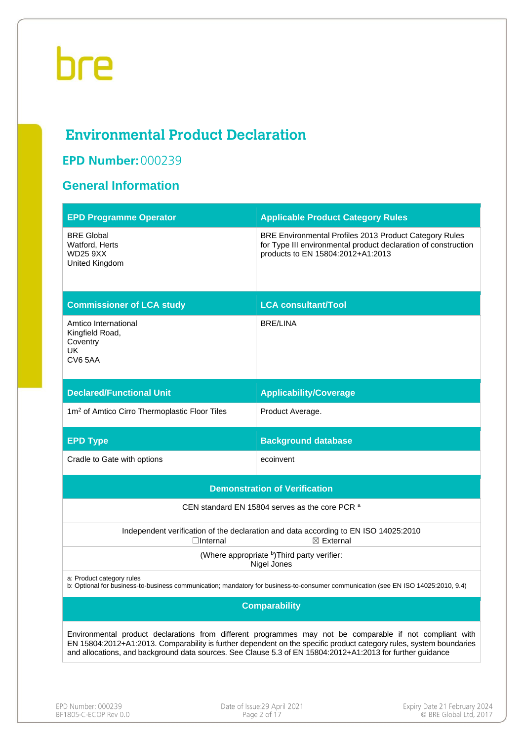### **Environmental Product Declaration**

### **EPD Number: 000239**

#### **General Information**

| <b>EPD Programme Operator</b>                                            | <b>Applicable Product Category Rules</b>                                                                                                                                                                                                                                                                                                      |
|--------------------------------------------------------------------------|-----------------------------------------------------------------------------------------------------------------------------------------------------------------------------------------------------------------------------------------------------------------------------------------------------------------------------------------------|
| <b>BRE Global</b><br>Watford, Herts<br><b>WD25 9XX</b><br>United Kingdom | BRE Environmental Profiles 2013 Product Category Rules<br>for Type III environmental product declaration of construction<br>products to EN 15804:2012+A1:2013                                                                                                                                                                                 |
| <b>Commissioner of LCA study</b>                                         | <b>LCA consultant/Tool</b>                                                                                                                                                                                                                                                                                                                    |
| Amtico International<br>Kingfield Road,<br>Coventry<br>UK.<br>CV65AA     | <b>BRE/LINA</b>                                                                                                                                                                                                                                                                                                                               |
| <b>Declared/Functional Unit</b>                                          | <b>Applicability/Coverage</b>                                                                                                                                                                                                                                                                                                                 |
| 1m <sup>2</sup> of Amtico Cirro Thermoplastic Floor Tiles                | Product Average.                                                                                                                                                                                                                                                                                                                              |
| <b>EPD Type</b>                                                          | <b>Background database</b>                                                                                                                                                                                                                                                                                                                    |
| Cradle to Gate with options                                              | ecoinvent                                                                                                                                                                                                                                                                                                                                     |
|                                                                          | <b>Demonstration of Verification</b>                                                                                                                                                                                                                                                                                                          |
|                                                                          | CEN standard EN 15804 serves as the core PCR a                                                                                                                                                                                                                                                                                                |
| $\Box$ Internal                                                          | Independent verification of the declaration and data according to EN ISO 14025:2010<br>$\boxtimes$ External                                                                                                                                                                                                                                   |
|                                                                          | (Where appropriate b) Third party verifier:<br>Nigel Jones                                                                                                                                                                                                                                                                                    |
| a: Product category rules                                                | b: Optional for business-to-business communication; mandatory for business-to-consumer communication (see EN ISO 14025:2010, 9.4)                                                                                                                                                                                                             |
|                                                                          | <b>Comparability</b>                                                                                                                                                                                                                                                                                                                          |
|                                                                          | Environmental product declarations from different programmes may not be comparable if not compliant with<br>EN 15804:2012+A1:2013. Comparability is further dependent on the specific product category rules, system boundaries<br>and allocations, and background data sources. See Clause 5.3 of EN 15804:2012+A1:2013 for further guidance |
|                                                                          |                                                                                                                                                                                                                                                                                                                                               |

Date of Issue: 29 April 2021<br>Page 2 of 17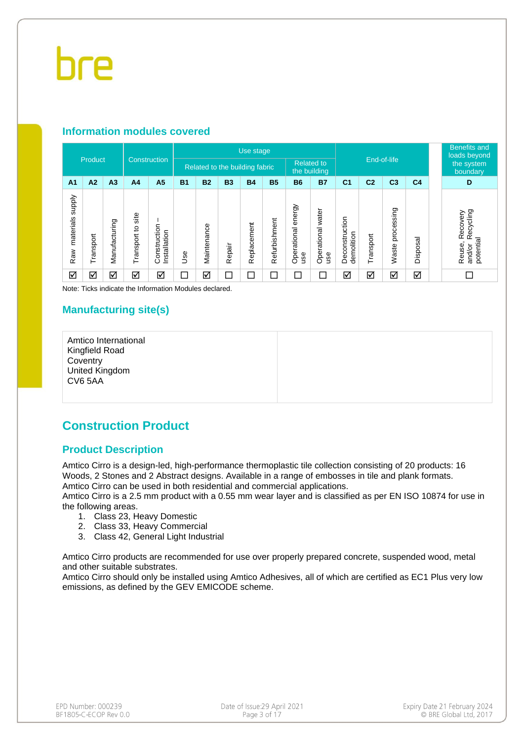#### **Information modules covered**

|                                  | Product   |                |                      |                                | Use stage  |             |           |                                                  |               |                              |                             |                              |                |                        | <b>Benefits and</b><br>loads beyond |  |                                                        |
|----------------------------------|-----------|----------------|----------------------|--------------------------------|------------|-------------|-----------|--------------------------------------------------|---------------|------------------------------|-----------------------------|------------------------------|----------------|------------------------|-------------------------------------|--|--------------------------------------------------------|
|                                  |           | Construction   |                      | Related to the building fabric |            |             |           | End-of-life<br><b>Related to</b><br>the building |               |                              |                             |                              |                | the system<br>boundary |                                     |  |                                                        |
| A <sub>1</sub>                   | A2        | A <sub>3</sub> | A <sub>4</sub>       | A <sub>5</sub>                 | <b>B1</b>  | <b>B2</b>   | <b>B3</b> | <b>B4</b>                                        | <b>B5</b>     | <b>B6</b>                    | <b>B7</b>                   | C <sub>1</sub>               | C <sub>2</sub> | C <sub>3</sub>         | C <sub>4</sub>                      |  | D                                                      |
| <b>Addns</b><br>materials<br>Raw | Transport | Manufacturing  | site<br>Transport to | Construction<br>Installation   | <b>Jse</b> | Maintenance | Repair    | Replacement                                      | Refurbishment | energy<br>Operational<br>use | water<br>Operational<br>use | Deconstruction<br>demolition | Transport      | processing<br>Waste    | Disposal                            |  | Recycling<br>Recovery<br>potential<br>Reuse,<br>and/or |
| ☑                                | ☑         | ☑              | ☑                    | ☑                              | □          | ☑           | $\Box$    |                                                  | $\Box$        |                              | г                           | ☑                            | ☑              | ☑                      | ☑                                   |  | П                                                      |

Note: Ticks indicate the Information Modules declared.

#### **Manufacturing site(s)**

Amtico International Kingfield Road **Coventry** United Kingdom CV6 5AA

#### **Construction Product**

#### **Product Description**

Amtico Cirro is a design-led, high-performance thermoplastic tile collection consisting of 20 products: 16 Woods, 2 Stones and 2 Abstract designs. Available in a range of embosses in tile and plank formats. Amtico Cirro can be used in both residential and commercial applications.

Amtico Cirro is a 2.5 mm product with a 0.55 mm wear layer and is classified as per EN ISO 10874 for use in the following areas.

- 1. Class 23, Heavy Domestic
- 2. Class 33, Heavy Commercial
- 3. Class 42, General Light Industrial

Amtico Cirro products are recommended for use over properly prepared concrete, suspended wood, metal and other suitable substrates.

Amtico Cirro should only be installed using Amtico Adhesives, all of which are certified as EC1 Plus very low emissions, as defined by the GEV EMICODE scheme.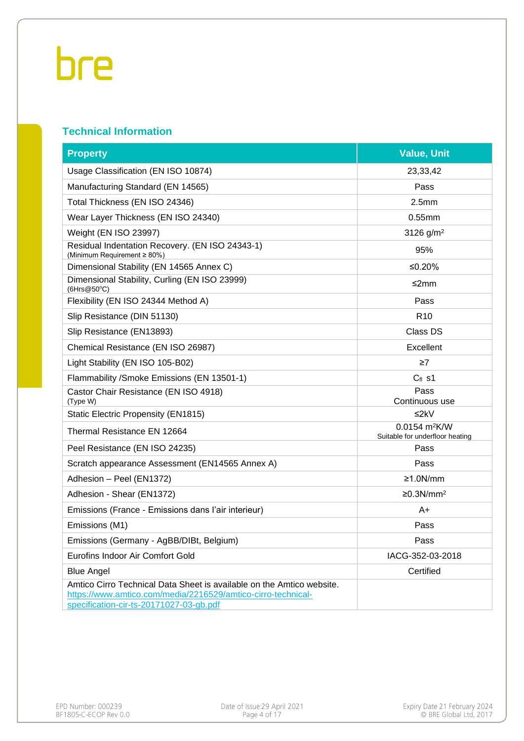#### **Technical Information**

| <b>Property</b>                                                                                                                                                                  | <b>Value, Unit</b>                                             |
|----------------------------------------------------------------------------------------------------------------------------------------------------------------------------------|----------------------------------------------------------------|
| Usage Classification (EN ISO 10874)                                                                                                                                              | 23,33,42                                                       |
| Manufacturing Standard (EN 14565)                                                                                                                                                | Pass                                                           |
| Total Thickness (EN ISO 24346)                                                                                                                                                   | 2.5 <sub>mm</sub>                                              |
| Wear Layer Thickness (EN ISO 24340)                                                                                                                                              | $0.55$ mm                                                      |
| Weight (EN ISO 23997)                                                                                                                                                            | 3126 $g/m^2$                                                   |
| Residual Indentation Recovery. (EN ISO 24343-1)<br>(Minimum Requirement ≥ 80%)                                                                                                   | 95%                                                            |
| Dimensional Stability (EN 14565 Annex C)                                                                                                                                         | ≤0.20%                                                         |
| Dimensional Stability, Curling (EN ISO 23999)<br>(6Hrs@50°C)                                                                                                                     | ≤2mm                                                           |
| Flexibility (EN ISO 24344 Method A)                                                                                                                                              | Pass                                                           |
| Slip Resistance (DIN 51130)                                                                                                                                                      | R <sub>10</sub>                                                |
| Slip Resistance (EN13893)                                                                                                                                                        | Class DS                                                       |
| Chemical Resistance (EN ISO 26987)                                                                                                                                               | Excellent                                                      |
| Light Stability (EN ISO 105-B02)                                                                                                                                                 | $\geq 7$                                                       |
| Flammability /Smoke Emissions (EN 13501-1)                                                                                                                                       | $C_{fl}$ s1                                                    |
| Castor Chair Resistance (EN ISO 4918)<br>(Type W)                                                                                                                                | Pass<br>Continuous use                                         |
| <b>Static Electric Propensity (EN1815)</b>                                                                                                                                       | ≤2 $k$ V                                                       |
| Thermal Resistance EN 12664                                                                                                                                                      | $0.0154$ m <sup>2</sup> K/W<br>Suitable for underfloor heating |
| Peel Resistance (EN ISO 24235)                                                                                                                                                   | Pass                                                           |
| Scratch appearance Assessment (EN14565 Annex A)                                                                                                                                  | Pass                                                           |
| Adhesion - Peel (EN1372)                                                                                                                                                         | $≥1.0N/mm$                                                     |
| Adhesion - Shear (EN1372)                                                                                                                                                        | ≥0.3N/mm <sup>2</sup>                                          |
| Emissions (France - Emissions dans l'air interieur)                                                                                                                              | A+                                                             |
| Emissions (M1)                                                                                                                                                                   | Pass                                                           |
| Emissions (Germany - AgBB/DIBt, Belgium)                                                                                                                                         | Pass                                                           |
| Eurofins Indoor Air Comfort Gold                                                                                                                                                 | IACG-352-03-2018                                               |
| <b>Blue Angel</b>                                                                                                                                                                | Certified                                                      |
| Amtico Cirro Technical Data Sheet is available on the Amtico website.<br>https://www.amtico.com/media/2216529/amtico-cirro-technical-<br>specification-cir-ts-20171027-03-gb.pdf |                                                                |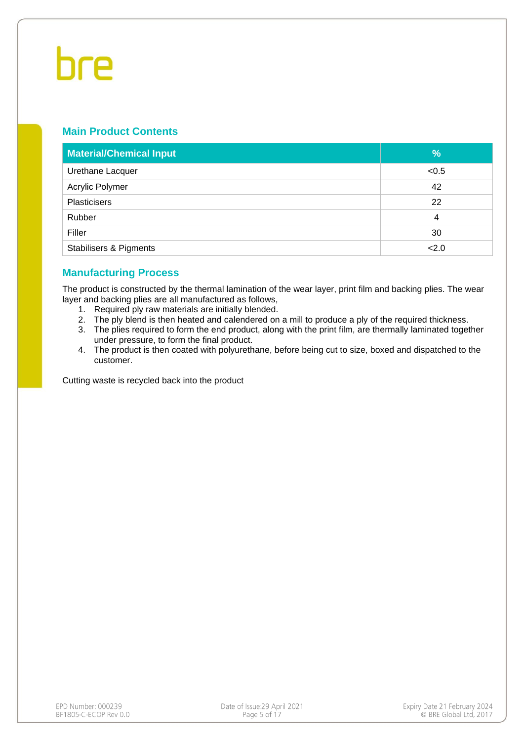#### **Main Product Contents**

| <b>Material/Chemical Input</b>    | %     |
|-----------------------------------|-------|
| Urethane Lacquer                  | < 0.5 |
| Acrylic Polymer                   | 42    |
| <b>Plasticisers</b>               | 22    |
| Rubber                            | 4     |
| Filler                            | 30    |
| <b>Stabilisers &amp; Pigments</b> | 2.0   |

#### **Manufacturing Process**

The product is constructed by the thermal lamination of the wear layer, print film and backing plies. The wear layer and backing plies are all manufactured as follows,

- 1. Required ply raw materials are initially blended.
- 2. The ply blend is then heated and calendered on a mill to produce a ply of the required thickness.
- 3. The plies required to form the end product, along with the print film, are thermally laminated together under pressure, to form the final product.
- 4. The product is then coated with polyurethane, before being cut to size, boxed and dispatched to the customer.

Cutting waste is recycled back into the product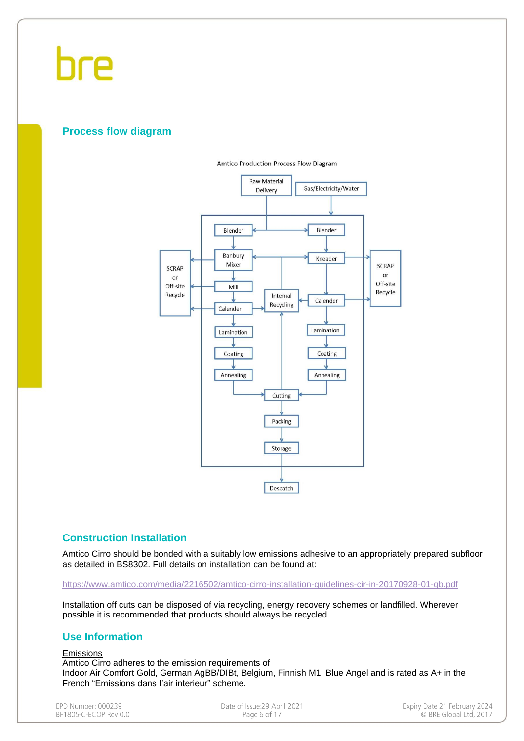#### **Process flow diagram**



#### **Amtico Production Process Flow Diagram**

#### **Construction Installation**

Amtico Cirro should be bonded with a suitably low emissions adhesive to an appropriately prepared subfloor as detailed in BS8302. Full details on installation can be found at:

#### <https://www.amtico.com/media/2216502/amtico-cirro-installation-guidelines-cir-in-20170928-01-gb.pdf>

Installation off cuts can be disposed of via recycling, energy recovery schemes or landfilled. Wherever possible it is recommended that products should always be recycled.

#### **Use Information**

#### Emissions

Amtico Cirro adheres to the emission requirements of Indoor Air Comfort Gold, German AgBB/DIBt, Belgium, Finnish M1, Blue Angel and is rated as A+ in the French "Emissions dans I'air interieur" scheme.

EPD Number: 000239 BF1805-C-ECOP Rev 0.0 Date of Issue: 29 April 2021 Page 6 of 17

Expiry Date 21 February 2024  $\sim$  BRE Global Ltd, 2017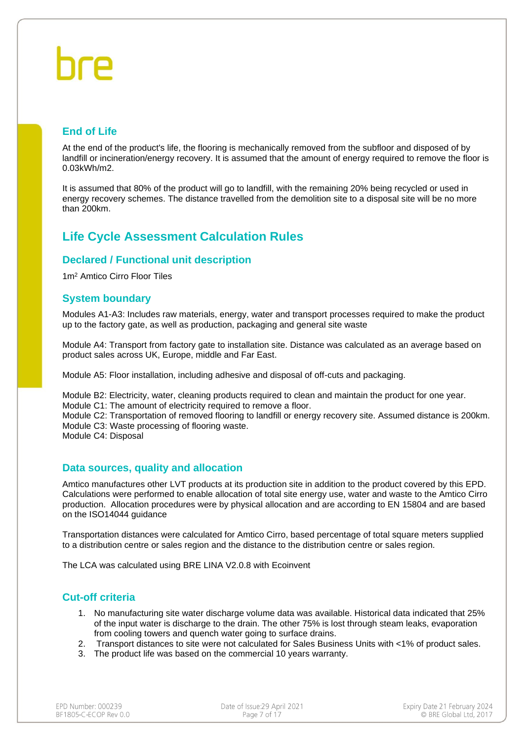#### **End of Life**

At the end of the product's life, the flooring is mechanically removed from the subfloor and disposed of by landfill or incineration/energy recovery. It is assumed that the amount of energy required to remove the floor is 0.03kWh/m2.

It is assumed that 80% of the product will go to landfill, with the remaining 20% being recycled or used in energy recovery schemes. The distance travelled from the demolition site to a disposal site will be no more than 200km.

#### **Life Cycle Assessment Calculation Rules**

#### **Declared / Functional unit description**

1m<sup>2</sup> Amtico Cirro Floor Tiles

#### **System boundary**

Modules A1-A3: Includes raw materials, energy, water and transport processes required to make the product up to the factory gate, as well as production, packaging and general site waste

Module A4: Transport from factory gate to installation site. Distance was calculated as an average based on product sales across UK, Europe, middle and Far East.

Module A5: Floor installation, including adhesive and disposal of off-cuts and packaging.

Module B2: Electricity, water, cleaning products required to clean and maintain the product for one year.

Module C1: The amount of electricity required to remove a floor.

Module C2: Transportation of removed flooring to landfill or energy recovery site. Assumed distance is 200km. Module C3: Waste processing of flooring waste.

Module C4: Disposal

#### **Data sources, quality and allocation**

Amtico manufactures other LVT products at its production site in addition to the product covered by this EPD. Calculations were performed to enable allocation of total site energy use, water and waste to the Amtico Cirro production. Allocation procedures were by physical allocation and are according to EN 15804 and are based on the ISO14044 guidance

Transportation distances were calculated for Amtico Cirro, based percentage of total square meters supplied to a distribution centre or sales region and the distance to the distribution centre or sales region.

The LCA was calculated using BRE LINA V2.0.8 with Ecoinvent

#### **Cut-off criteria**

- 1. No manufacturing site water discharge volume data was available. Historical data indicated that 25% of the input water is discharge to the drain. The other 75% is lost through steam leaks, evaporation from cooling towers and quench water going to surface drains.
- 2. Transport distances to site were not calculated for Sales Business Units with <1% of product sales.
- 3. The product life was based on the commercial 10 years warranty.

| FPD Number: 000239    |  |
|-----------------------|--|
| BE1805-C-ECOP Rev 0.0 |  |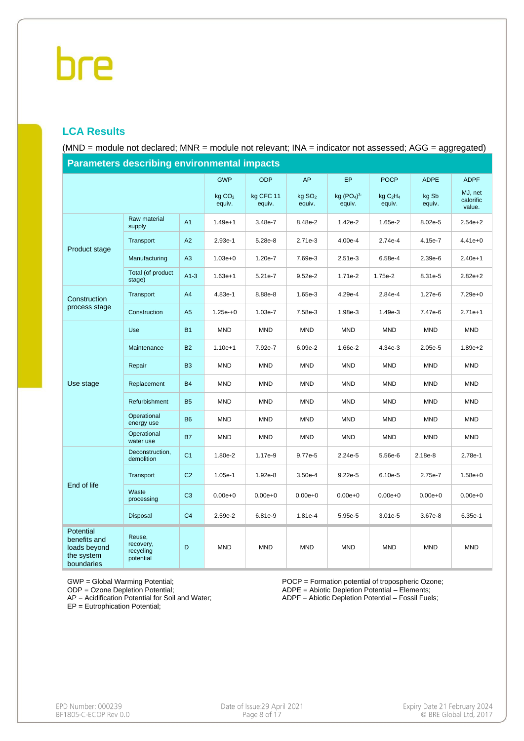#### **LCA Results**

(MND = module not declared; MNR = module not relevant; INA = indicator not assessed; AGG = aggregated)

| <u>r arameters describing environmental impacts</u>                   |                                               |                |                              |                     |                              |                       |                                           |                 |                                |
|-----------------------------------------------------------------------|-----------------------------------------------|----------------|------------------------------|---------------------|------------------------------|-----------------------|-------------------------------------------|-----------------|--------------------------------|
|                                                                       |                                               |                | <b>GWP</b>                   | <b>ODP</b>          | <b>AP</b>                    | <b>EP</b>             | <b>POCP</b>                               | <b>ADPE</b>     | <b>ADPF</b>                    |
|                                                                       |                                               |                | kq CO <sub>2</sub><br>equiv. | kg CFC 11<br>equiv. | kg SO <sub>2</sub><br>equiv. | kg $(PO4)3$<br>equiv. | kgC <sub>2</sub> H <sub>4</sub><br>equiv. | kg Sb<br>equiv. | MJ, net<br>calorific<br>value. |
|                                                                       | Raw material<br>supply                        | A1             | $1.49e + 1$                  | 3.48e-7             | 8.48e-2                      | 1.42e-2               | 1.65e-2                                   | 8.02e-5         | $2.54e + 2$                    |
| Product stage                                                         | Transport                                     | A2             | 2.93e-1                      | 5.28e-8             | $2.71e-3$                    | 4.00e-4               | 2.74e-4                                   | 4.15e-7         | $4.41e + 0$                    |
|                                                                       | Manufacturing                                 | A3             | $1.03e + 0$                  | 1.20e-7             | 7.69e-3                      | $2.51e-3$             | 6.58e-4                                   | 2.39e-6         | $2.40e+1$                      |
|                                                                       | Total (of product<br>stage)                   | $A1-3$         | $1.63e+1$                    | 5.21e-7             | $9.52e-2$                    | 1.71e-2               | 1.75e-2                                   | 8.31e-5         | $2.82e + 2$                    |
| Construction                                                          | Transport                                     | A4             | 4.83e-1                      | 8.88e-8             | 1.65e-3                      | 4.29e-4               | 2.84e-4                                   | 1.27e-6         | $7.29e+0$                      |
| process stage                                                         | Construction                                  | A <sub>5</sub> | $1.25e + 0$                  | 1.03e-7             | 7.58e-3                      | 1.98e-3               | 1.49e-3                                   | 7.47e-6         | $2.71e+1$                      |
|                                                                       | Use                                           | <b>B1</b>      | <b>MND</b>                   | <b>MND</b>          | <b>MND</b>                   | <b>MND</b>            | <b>MND</b>                                | <b>MND</b>      | <b>MND</b>                     |
|                                                                       | Maintenance                                   | <b>B2</b>      | $1.10e + 1$                  | 7.92e-7             | $6.09e-2$                    | 1.66e-2               | 4.34e-3                                   | 2.05e-5         | $1.89e + 2$                    |
|                                                                       | Repair                                        | <b>B3</b>      | <b>MND</b>                   | <b>MND</b>          | <b>MND</b>                   | <b>MND</b>            | <b>MND</b>                                | <b>MND</b>      | <b>MND</b>                     |
| Use stage                                                             | Replacement                                   | <b>B4</b>      | <b>MND</b>                   | <b>MND</b>          | <b>MND</b>                   | <b>MND</b>            | <b>MND</b>                                | <b>MND</b>      | <b>MND</b>                     |
|                                                                       | Refurbishment                                 | <b>B5</b>      | <b>MND</b>                   | <b>MND</b>          | <b>MND</b>                   | <b>MND</b>            | <b>MND</b>                                | <b>MND</b>      | <b>MND</b>                     |
|                                                                       | Operational<br>energy use                     | <b>B6</b>      | <b>MND</b>                   | <b>MND</b>          | <b>MND</b>                   | <b>MND</b>            | <b>MND</b>                                | <b>MND</b>      | <b>MND</b>                     |
|                                                                       | Operational<br>water use                      | <b>B7</b>      | <b>MND</b>                   | <b>MND</b>          | <b>MND</b>                   | <b>MND</b>            | <b>MND</b>                                | <b>MND</b>      | <b>MND</b>                     |
|                                                                       | Deconstruction,<br>demolition                 | C <sub>1</sub> | 1.80e-2                      | 1.17e-9             | 9.77e-5                      | 2.24e-5               | 5.56e-6                                   | 2.18e-8         | 2.78e-1                        |
|                                                                       | Transport                                     | C <sub>2</sub> | $1.05e-1$                    | 1.92e-8             | $3.50e-4$                    | 9.22e-5               | 6.10e-5                                   | 2.75e-7         | $1.58e + 0$                    |
| End of life                                                           | Waste<br>processing                           | C <sub>3</sub> | $0.00e + 0$                  | $0.00e + 0$         | $0.00e + 0$                  | $0.00e + 0$           | $0.00e + 0$                               | $0.00e + 0$     | $0.00e + 0$                    |
|                                                                       | Disposal                                      | C <sub>4</sub> | 2.59e-2                      | 6.81e-9             | 1.81e-4                      | 5.95e-5               | $3.01e-5$                                 | 3.67e-8         | $6.35e-1$                      |
| Potential<br>benefits and<br>loads beyond<br>the system<br>boundaries | Reuse,<br>recovery,<br>recycling<br>potential | D              | <b>MND</b>                   | <b>MND</b>          | <b>MND</b>                   | <b>MND</b>            | <b>MND</b>                                | <b>MND</b>      | <b>MND</b>                     |

**Parameters describing environmental impacts**

GWP = Global Warming Potential;

ODP = Ozone Depletion Potential;

AP = Acidification Potential for Soil and Water; EP = Eutrophication Potential;

POCP = Formation potential of tropospheric Ozone; ADPE = Abiotic Depletion Potential – Elements; ADPF = Abiotic Depletion Potential – Fossil Fuels;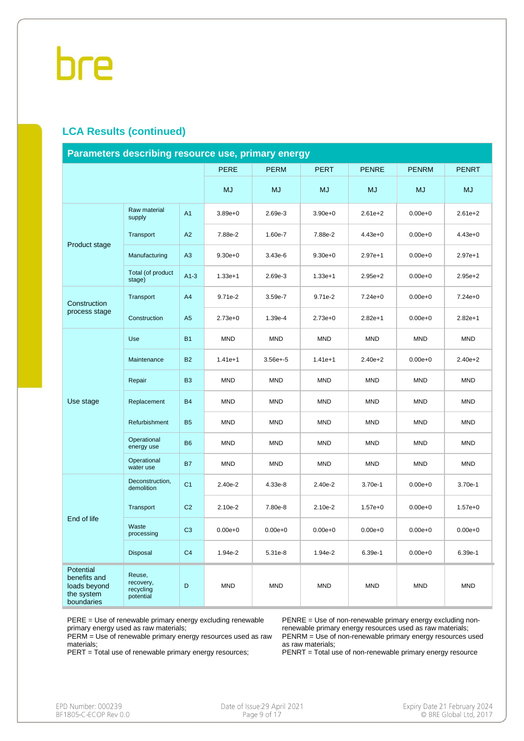#### **LCA Results (continued)**

| Parameters describing resource use, primary energy                    |                                               |                |             |              |             |              |              |              |
|-----------------------------------------------------------------------|-----------------------------------------------|----------------|-------------|--------------|-------------|--------------|--------------|--------------|
|                                                                       |                                               |                | <b>PERE</b> | <b>PERM</b>  | <b>PERT</b> | <b>PENRE</b> | <b>PENRM</b> | <b>PENRT</b> |
|                                                                       |                                               |                | <b>MJ</b>   | <b>MJ</b>    | <b>MJ</b>   | <b>MJ</b>    | <b>MJ</b>    | <b>MJ</b>    |
|                                                                       | Raw material<br>supply                        | A <sub>1</sub> | $3.89e + 0$ | 2.69e-3      | $3.90e + 0$ | $2.61e + 2$  | $0.00e + 0$  | $2.61e + 2$  |
| Product stage                                                         | Transport                                     | A2             | 7.88e-2     | 1.60e-7      | 7.88e-2     | $4.43e+0$    | $0.00e + 0$  | $4.43e + 0$  |
|                                                                       | Manufacturing                                 | A3             | $9.30e + 0$ | 3.43e-6      | $9.30e + 0$ | $2.97e+1$    | $0.00e + 0$  | $2.97e+1$    |
|                                                                       | Total (of product<br>stage)                   | $A1-3$         | $1.33e+1$   | 2.69e-3      | $1.33e + 1$ | $2.95e + 2$  | $0.00e + 0$  | $2.95e + 2$  |
| Construction                                                          | Transport                                     | A4             | 9.71e-2     | 3.59e-7      | $9.71e-2$   | $7.24e+0$    | $0.00e + 0$  | $7.24e+0$    |
| process stage                                                         | Construction                                  | A <sub>5</sub> | $2.73e+0$   | 1.39e-4      | $2.73e+0$   | $2.82e+1$    | $0.00e + 0$  | $2.82e+1$    |
|                                                                       | Use                                           | <b>B1</b>      | <b>MND</b>  | <b>MND</b>   | <b>MND</b>  | <b>MND</b>   | <b>MND</b>   | <b>MND</b>   |
|                                                                       | Maintenance                                   | <b>B2</b>      | $1.41e+1$   | $3.56e + -5$ | $1.41e+1$   | $2.40e + 2$  | $0.00e + 0$  | $2.40e + 2$  |
|                                                                       | Repair                                        | B <sub>3</sub> | <b>MND</b>  | <b>MND</b>   | <b>MND</b>  | <b>MND</b>   | <b>MND</b>   | <b>MND</b>   |
| Use stage                                                             | Replacement                                   | <b>B4</b>      | <b>MND</b>  | <b>MND</b>   | <b>MND</b>  | <b>MND</b>   | <b>MND</b>   | <b>MND</b>   |
|                                                                       | Refurbishment                                 | <b>B5</b>      | <b>MND</b>  | <b>MND</b>   | <b>MND</b>  | <b>MND</b>   | <b>MND</b>   | <b>MND</b>   |
|                                                                       | Operational<br>energy use                     | <b>B6</b>      | <b>MND</b>  | <b>MND</b>   | <b>MND</b>  | <b>MND</b>   | <b>MND</b>   | <b>MND</b>   |
|                                                                       | Operational<br>water use                      | <b>B7</b>      | <b>MND</b>  | <b>MND</b>   | <b>MND</b>  | <b>MND</b>   | <b>MND</b>   | <b>MND</b>   |
|                                                                       | Deconstruction,<br>demolition                 | C <sub>1</sub> | 2.40e-2     | 4.33e-8      | 2.40e-2     | 3.70e-1      | $0.00e + 0$  | 3.70e-1      |
|                                                                       | Transport                                     | C <sub>2</sub> | $2.10e-2$   | 7.80e-8      | $2.10e-2$   | $1.57e+0$    | $0.00e + 0$  | $1.57e + 0$  |
| End of life                                                           | Waste<br>processing                           | C <sub>3</sub> | $0.00e + 0$ | $0.00e + 0$  | $0.00e + 0$ | $0.00e + 0$  | $0.00e + 0$  | $0.00e + 0$  |
|                                                                       | Disposal                                      | C <sub>4</sub> | 1.94e-2     | 5.31e-8      | 1.94e-2     | 6.39e-1      | $0.00e + 0$  | 6.39e-1      |
| Potential<br>benefits and<br>loads beyond<br>the system<br>boundaries | Reuse,<br>recovery,<br>recycling<br>potential | D              | <b>MND</b>  | <b>MND</b>   | <b>MND</b>  | <b>MND</b>   | <b>MND</b>   | <b>MND</b>   |

PERE = Use of renewable primary energy excluding renewable primary energy used as raw materials; PERM = Use of renewable primary energy resources used as raw

PENRE = Use of non-renewable primary energy excluding nonrenewable primary energy resources used as raw materials; PENRM = Use of non-renewable primary energy resources used as raw materials;

PERT = Total use of renewable primary energy resources;

PENRT = Total use of non-renewable primary energy resource

materials;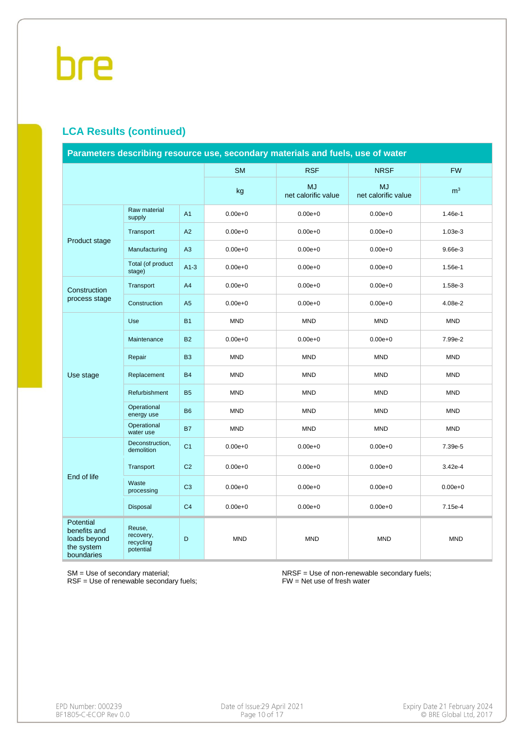#### **LCA Results (continued)**

|                                                                       | Parameters describing resource use, secondary materials and fuels, use of water |                |             |                                  |                                  |                |  |  |  |  |  |
|-----------------------------------------------------------------------|---------------------------------------------------------------------------------|----------------|-------------|----------------------------------|----------------------------------|----------------|--|--|--|--|--|
|                                                                       |                                                                                 |                | <b>SM</b>   | <b>RSF</b>                       | <b>NRSF</b>                      | <b>FW</b>      |  |  |  |  |  |
|                                                                       |                                                                                 |                | kg          | <b>MJ</b><br>net calorific value | <b>MJ</b><br>net calorific value | m <sup>3</sup> |  |  |  |  |  |
|                                                                       | Raw material<br>supply                                                          | A1             | $0.00e + 0$ | $0.00e + 0$                      | $0.00e + 0$                      | 1.46e-1        |  |  |  |  |  |
| Product stage                                                         | Transport                                                                       | A2             | $0.00e + 0$ | $0.00e + 0$                      | $0.00e + 0$                      | $1.03e-3$      |  |  |  |  |  |
|                                                                       | Manufacturing                                                                   | A3             | $0.00e + 0$ | $0.00e + 0$                      | $0.00e + 0$                      | 9.66e-3        |  |  |  |  |  |
|                                                                       | Total (of product<br>stage)                                                     | $A1-3$         | $0.00e + 0$ | $0.00e + 0$                      | $0.00e + 0$                      | 1.56e-1        |  |  |  |  |  |
| Construction                                                          | Transport                                                                       | A4             | $0.00e + 0$ | $0.00e + 0$                      | $0.00e + 0$                      | 1.58e-3        |  |  |  |  |  |
| process stage                                                         | Construction                                                                    | A <sub>5</sub> | $0.00e + 0$ | $0.00e + 0$                      | $0.00e + 0$                      | 4.08e-2        |  |  |  |  |  |
|                                                                       | Use                                                                             | <b>B1</b>      | <b>MND</b>  | <b>MND</b>                       | <b>MND</b>                       | <b>MND</b>     |  |  |  |  |  |
|                                                                       | Maintenance                                                                     | <b>B2</b>      | $0.00e + 0$ | $0.00e + 0$                      | $0.00e + 0$                      | 7.99e-2        |  |  |  |  |  |
|                                                                       | Repair                                                                          | <b>B3</b>      | <b>MND</b>  | <b>MND</b>                       | <b>MND</b>                       | <b>MND</b>     |  |  |  |  |  |
| Use stage                                                             | Replacement                                                                     | <b>B4</b>      | <b>MND</b>  | <b>MND</b>                       | <b>MND</b>                       | <b>MND</b>     |  |  |  |  |  |
|                                                                       | Refurbishment                                                                   | <b>B5</b>      | <b>MND</b>  | <b>MND</b>                       | <b>MND</b>                       | <b>MND</b>     |  |  |  |  |  |
|                                                                       | Operational<br>energy use                                                       | <b>B6</b>      | <b>MND</b>  | <b>MND</b>                       | <b>MND</b>                       | <b>MND</b>     |  |  |  |  |  |
|                                                                       | Operational<br>water use                                                        | <b>B7</b>      | <b>MND</b>  | <b>MND</b>                       | <b>MND</b>                       | <b>MND</b>     |  |  |  |  |  |
|                                                                       | Deconstruction,<br>demolition                                                   | C <sub>1</sub> | $0.00e + 0$ | $0.00e + 0$                      | $0.00e + 0$                      | 7.39e-5        |  |  |  |  |  |
|                                                                       | Transport                                                                       | C <sub>2</sub> | $0.00e + 0$ | $0.00e + 0$                      | $0.00e + 0$                      | 3.42e-4        |  |  |  |  |  |
| End of life                                                           | Waste<br>processing                                                             | C <sub>3</sub> | $0.00e + 0$ | $0.00e + 0$                      | $0.00e + 0$                      | $0.00e + 0$    |  |  |  |  |  |
|                                                                       | Disposal                                                                        | C <sub>4</sub> | $0.00e + 0$ | $0.00e + 0$                      | $0.00e + 0$                      | 7.15e-4        |  |  |  |  |  |
| Potential<br>benefits and<br>loads beyond<br>the system<br>boundaries | Reuse,<br>recovery,<br>recycling<br>potential                                   | D              | <b>MND</b>  | <b>MND</b>                       | <b>MND</b>                       | <b>MND</b>     |  |  |  |  |  |

SM = Use of secondary material; RSF = Use of renewable secondary fuels; NRSF = Use of non-renewable secondary fuels; FW = Net use of fresh water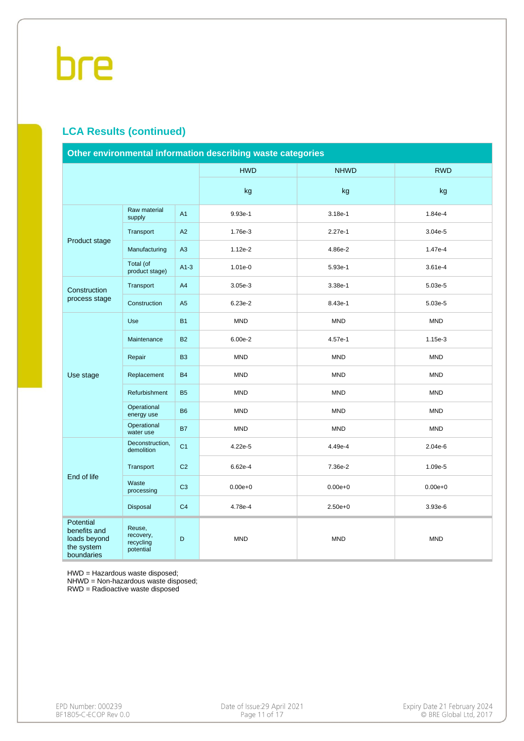#### **LCA Results (continued)**

| Other environmental information describing waste categories           |                                               |                |                    |             |             |  |  |  |  |
|-----------------------------------------------------------------------|-----------------------------------------------|----------------|--------------------|-------------|-------------|--|--|--|--|
|                                                                       |                                               |                | <b>HWD</b>         | <b>NHWD</b> | <b>RWD</b>  |  |  |  |  |
|                                                                       |                                               |                | kg                 | kg          | kg          |  |  |  |  |
|                                                                       | Raw material<br>supply                        | A <sub>1</sub> | 9.93e-1<br>3.18e-1 |             | 1.84e-4     |  |  |  |  |
| Product stage                                                         | Transport                                     | A2             | 1.76e-3            | $2.27e-1$   | $3.04e-5$   |  |  |  |  |
|                                                                       | Manufacturing                                 | A <sub>3</sub> | 1.12e-2            | 4.86e-2     | 1.47e-4     |  |  |  |  |
|                                                                       | Total (of<br>product stage)                   | $A1-3$         | 1.01e-0            | 5.93e-1     | $3.61e-4$   |  |  |  |  |
| Construction                                                          | Transport                                     | A4             | 3.05e-3            | 3.38e-1     | 5.03e-5     |  |  |  |  |
| process stage                                                         | Construction                                  | A <sub>5</sub> | 6.23e-2            | 8.43e-1     | 5.03e-5     |  |  |  |  |
| Use                                                                   |                                               | <b>B1</b>      | <b>MND</b>         | <b>MND</b>  | <b>MND</b>  |  |  |  |  |
|                                                                       | Maintenance                                   | <b>B2</b>      | 6.00e-2            | 4.57e-1     | 1.15e-3     |  |  |  |  |
|                                                                       | Repair                                        | B <sub>3</sub> | <b>MND</b>         | <b>MND</b>  | <b>MND</b>  |  |  |  |  |
| Use stage                                                             | Replacement                                   | <b>B4</b>      | <b>MND</b>         | <b>MND</b>  | <b>MND</b>  |  |  |  |  |
|                                                                       | Refurbishment                                 | <b>B5</b>      | <b>MND</b>         | <b>MND</b>  | <b>MND</b>  |  |  |  |  |
|                                                                       | Operational<br>energy use                     | <b>B6</b>      | <b>MND</b>         | <b>MND</b>  | <b>MND</b>  |  |  |  |  |
|                                                                       | Operational<br>water use                      | <b>B7</b>      | <b>MND</b>         | <b>MND</b>  | <b>MND</b>  |  |  |  |  |
|                                                                       | Deconstruction,<br>demolition                 | C <sub>1</sub> | 4.22e-5            | 4.49e-4     | $2.04e-6$   |  |  |  |  |
|                                                                       | Transport                                     | C <sub>2</sub> | 6.62e-4            | 7.36e-2     | 1.09e-5     |  |  |  |  |
| End of life                                                           | Waste<br>processing                           | C <sub>3</sub> | $0.00e + 0$        | $0.00e + 0$ | $0.00e + 0$ |  |  |  |  |
|                                                                       | Disposal                                      | C <sub>4</sub> | 4.78e-4            | $2.50e + 0$ | 3.93e-6     |  |  |  |  |
| Potential<br>benefits and<br>loads beyond<br>the system<br>boundaries | Reuse,<br>recovery,<br>recycling<br>potential | D              | <b>MND</b>         | <b>MND</b>  | <b>MND</b>  |  |  |  |  |

HWD = Hazardous waste disposed;

NHWD = Non-hazardous waste disposed;

RWD = Radioactive waste disposed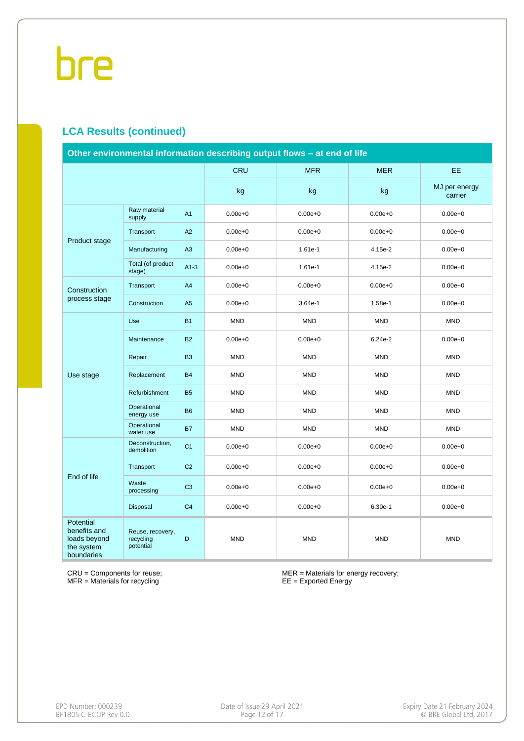#### **LCA Results (continued)**

|                                                                                                                                       | Other environmental information describing output flows - at end of life |                |             |             |             |                          |  |  |  |  |  |
|---------------------------------------------------------------------------------------------------------------------------------------|--------------------------------------------------------------------------|----------------|-------------|-------------|-------------|--------------------------|--|--|--|--|--|
|                                                                                                                                       |                                                                          |                | <b>CRU</b>  | <b>MFR</b>  | <b>MER</b>  | EE.                      |  |  |  |  |  |
|                                                                                                                                       |                                                                          |                | kg          | kg          | kg          | MJ per energy<br>carrier |  |  |  |  |  |
|                                                                                                                                       | Raw material<br>supply                                                   | A <sub>1</sub> | $0.00e + 0$ | $0.00e + 0$ | $0.00e + 0$ | $0.00e + 0$              |  |  |  |  |  |
|                                                                                                                                       | Transport                                                                | A2             | $0.00e + 0$ | $0.00e + 0$ | $0.00e + 0$ | $0.00e + 0$              |  |  |  |  |  |
| Product stage<br>Construction<br>process stage<br>Use stage<br>End of life<br>Potential<br>benefits and<br>loads beyond<br>the system | Manufacturing                                                            | A3             | $0.00e + 0$ | 1.61e-1     | 4.15e-2     | $0.00e + 0$              |  |  |  |  |  |
|                                                                                                                                       | Total (of product<br>stage)                                              | $A1-3$         | $0.00e + 0$ | 1.61e-1     | 4.15e-2     | $0.00e + 0$              |  |  |  |  |  |
|                                                                                                                                       | Transport                                                                | A4             | $0.00e + 0$ | $0.00e + 0$ | $0.00e + 0$ | $0.00e + 0$              |  |  |  |  |  |
|                                                                                                                                       | Construction                                                             | A <sub>5</sub> | $0.00e + 0$ | 3.64e-1     | 1.58e-1     | $0.00e + 0$              |  |  |  |  |  |
|                                                                                                                                       | Use                                                                      | <b>B1</b>      | <b>MND</b>  | <b>MND</b>  | <b>MND</b>  | <b>MND</b>               |  |  |  |  |  |
|                                                                                                                                       | Maintenance                                                              | <b>B2</b>      | $0.00e + 0$ | $0.00e + 0$ | 6.24e-2     | $0.00e + 0$              |  |  |  |  |  |
|                                                                                                                                       | Repair                                                                   | <b>B3</b>      | <b>MND</b>  | <b>MND</b>  | <b>MND</b>  | <b>MND</b>               |  |  |  |  |  |
|                                                                                                                                       | Replacement                                                              | <b>B4</b>      | <b>MND</b>  | <b>MND</b>  | <b>MND</b>  | <b>MND</b>               |  |  |  |  |  |
|                                                                                                                                       | Refurbishment                                                            | <b>B5</b>      | <b>MND</b>  | <b>MND</b>  | <b>MND</b>  | <b>MND</b>               |  |  |  |  |  |
|                                                                                                                                       | Operational<br>energy use                                                | <b>B6</b>      | <b>MND</b>  | <b>MND</b>  | <b>MND</b>  | <b>MND</b>               |  |  |  |  |  |
|                                                                                                                                       | Operational<br>water use                                                 | <b>B7</b>      | <b>MND</b>  | <b>MND</b>  | <b>MND</b>  | <b>MND</b>               |  |  |  |  |  |
|                                                                                                                                       | Deconstruction,<br>demolition                                            | C <sub>1</sub> | $0.00e + 0$ | $0.00e + 0$ | $0.00e + 0$ | $0.00e + 0$              |  |  |  |  |  |
|                                                                                                                                       | Transport                                                                | C <sub>2</sub> | $0.00e + 0$ | $0.00e + 0$ | $0.00e + 0$ | $0.00e + 0$              |  |  |  |  |  |
|                                                                                                                                       | Waste<br>processing                                                      | C <sub>3</sub> | $0.00e + 0$ | $0.00e + 0$ | $0.00e + 0$ | $0.00e + 0$              |  |  |  |  |  |
|                                                                                                                                       | Disposal                                                                 | C <sub>4</sub> | $0.00e + 0$ | $0.00e + 0$ | 6.30e-1     | $0.00e + 0$              |  |  |  |  |  |
| boundaries                                                                                                                            | Reuse, recovery,<br>recycling<br>potential                               | D              | <b>MND</b>  | <b>MND</b>  | <b>MND</b>  | <b>MND</b>               |  |  |  |  |  |

CRU = Components for reuse; MFR = Materials for recycling

MER = Materials for energy recovery; EE = Exported Energy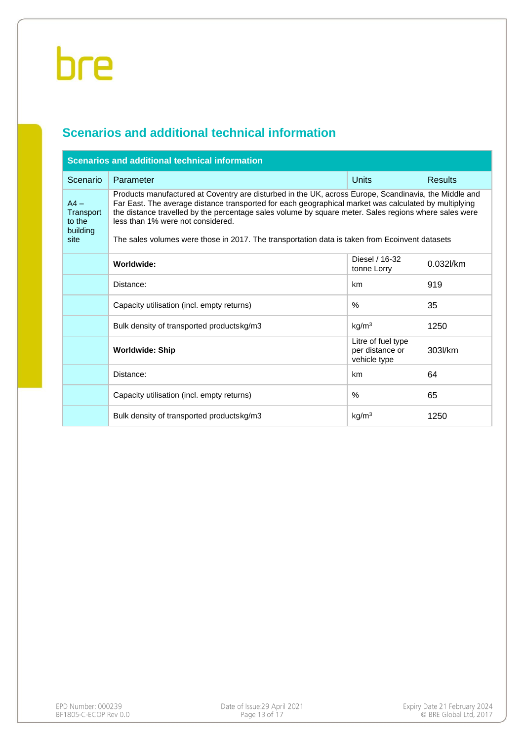### **Scenarios and additional technical information**

|                                                   | <b>Scenarios and additional technical information</b>                                                                                                                                                                                                                                                                                                                                                                                                          |                                                       |                |
|---------------------------------------------------|----------------------------------------------------------------------------------------------------------------------------------------------------------------------------------------------------------------------------------------------------------------------------------------------------------------------------------------------------------------------------------------------------------------------------------------------------------------|-------------------------------------------------------|----------------|
| Scenario                                          | Parameter                                                                                                                                                                                                                                                                                                                                                                                                                                                      | <b>Units</b>                                          | <b>Results</b> |
| $AA -$<br>Transport<br>to the<br>building<br>site | Products manufactured at Coventry are disturbed in the UK, across Europe, Scandinavia, the Middle and<br>Far East. The average distance transported for each geographical market was calculated by multiplying<br>the distance travelled by the percentage sales volume by square meter. Sales regions where sales were<br>less than 1% were not considered.<br>The sales volumes were those in 2017. The transportation data is taken from Ecoinvent datasets |                                                       |                |
|                                                   | Worldwide:                                                                                                                                                                                                                                                                                                                                                                                                                                                     | Diesel / 16-32<br>tonne Lorry                         | 0.032l/km      |
|                                                   | Distance:                                                                                                                                                                                                                                                                                                                                                                                                                                                      | km                                                    | 919            |
|                                                   | Capacity utilisation (incl. empty returns)                                                                                                                                                                                                                                                                                                                                                                                                                     | $\%$                                                  | 35             |
|                                                   | Bulk density of transported productskg/m3                                                                                                                                                                                                                                                                                                                                                                                                                      | kg/m <sup>3</sup>                                     | 1250           |
|                                                   | <b>Worldwide: Ship</b>                                                                                                                                                                                                                                                                                                                                                                                                                                         | Litre of fuel type<br>per distance or<br>vehicle type | 303l/km        |
|                                                   | Distance:                                                                                                                                                                                                                                                                                                                                                                                                                                                      | km                                                    | 64             |
|                                                   | Capacity utilisation (incl. empty returns)                                                                                                                                                                                                                                                                                                                                                                                                                     | $\%$                                                  | 65             |
|                                                   | Bulk density of transported productskg/m3                                                                                                                                                                                                                                                                                                                                                                                                                      | kg/m <sup>3</sup>                                     | 1250           |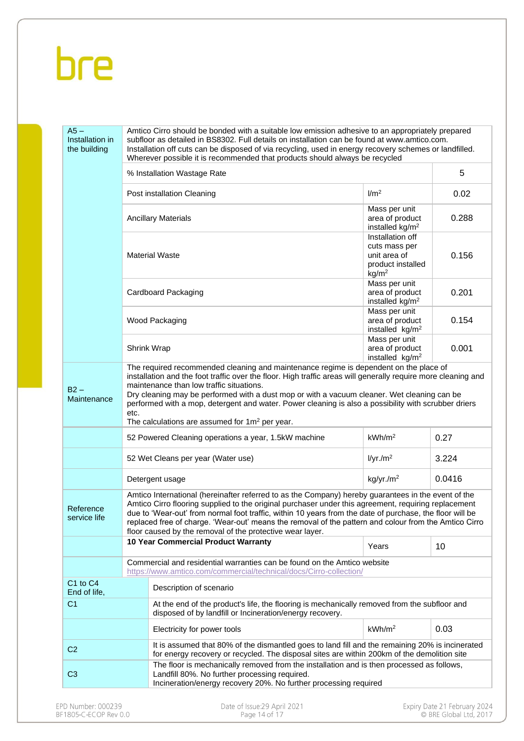| $A5 -$<br>Installation in<br>the building |                            | Amtico Cirro should be bonded with a suitable low emission adhesive to an appropriately prepared<br>subfloor as detailed in BS8302. Full details on installation can be found at www.amtico.com.<br>Installation off cuts can be disposed of via recycling, used in energy recovery schemes or landfilled.<br>Wherever possible it is recommended that products should always be recycled                                                                                                     |                                                                                             |        |
|-------------------------------------------|----------------------------|-----------------------------------------------------------------------------------------------------------------------------------------------------------------------------------------------------------------------------------------------------------------------------------------------------------------------------------------------------------------------------------------------------------------------------------------------------------------------------------------------|---------------------------------------------------------------------------------------------|--------|
|                                           |                            | % Installation Wastage Rate                                                                                                                                                                                                                                                                                                                                                                                                                                                                   |                                                                                             | 5      |
|                                           |                            | Post installation Cleaning                                                                                                                                                                                                                                                                                                                                                                                                                                                                    | 1/m <sup>2</sup>                                                                            | 0.02   |
|                                           | <b>Ancillary Materials</b> | Mass per unit<br>area of product<br>installed kg/m <sup>2</sup>                                                                                                                                                                                                                                                                                                                                                                                                                               | 0.288                                                                                       |        |
|                                           |                            | <b>Material Waste</b>                                                                                                                                                                                                                                                                                                                                                                                                                                                                         | Installation off<br>cuts mass per<br>unit area of<br>product installed<br>kg/m <sup>2</sup> | 0.156  |
|                                           |                            | Cardboard Packaging                                                                                                                                                                                                                                                                                                                                                                                                                                                                           | Mass per unit<br>area of product<br>installed kg/m <sup>2</sup>                             | 0.201  |
|                                           |                            | Wood Packaging                                                                                                                                                                                                                                                                                                                                                                                                                                                                                | Mass per unit<br>area of product<br>installed kg/m <sup>2</sup>                             | 0.154  |
|                                           |                            | <b>Shrink Wrap</b>                                                                                                                                                                                                                                                                                                                                                                                                                                                                            | Mass per unit<br>area of product<br>installed kg/m <sup>2</sup>                             | 0.001  |
| $B2 -$<br>Maintenance                     | etc.                       | installation and the foot traffic over the floor. High traffic areas will generally require more cleaning and<br>maintenance than low traffic situations.<br>Dry cleaning may be performed with a dust mop or with a vacuum cleaner. Wet cleaning can be<br>performed with a mop, detergent and water. Power cleaning is also a possibility with scrubber driers<br>The calculations are assumed for $1m^2$ per year.                                                                         |                                                                                             |        |
|                                           |                            | 52 Powered Cleaning operations a year, 1.5kW machine                                                                                                                                                                                                                                                                                                                                                                                                                                          | kWh/m <sup>2</sup>                                                                          | 0.27   |
|                                           |                            | 52 Wet Cleans per year (Water use)                                                                                                                                                                                                                                                                                                                                                                                                                                                            | I/yr./m <sup>2</sup>                                                                        | 3.224  |
|                                           |                            | Detergent usage                                                                                                                                                                                                                                                                                                                                                                                                                                                                               | kg/yr./m <sup>2</sup>                                                                       | 0.0416 |
| Reference<br>service life                 |                            | Amtico International (hereinafter referred to as the Company) hereby guarantees in the event of the<br>Amtico Cirro flooring supplied to the original purchaser under this agreement, requiring replacement<br>due to 'Wear-out' from normal foot traffic, within 10 years from the date of purchase, the floor will be<br>replaced free of charge. 'Wear-out' means the removal of the pattern and colour from the Amtico Cirro<br>floor caused by the removal of the protective wear layer. |                                                                                             |        |
|                                           |                            | 10 Year Commercial Product Warranty                                                                                                                                                                                                                                                                                                                                                                                                                                                           | Years                                                                                       | 10     |
|                                           |                            | Commercial and residential warranties can be found on the Amtico website<br>https://www.amtico.com/commercial/technical/docs/Cirro-collection/                                                                                                                                                                                                                                                                                                                                                |                                                                                             |        |
| C1 to C4<br>End of life,                  |                            | Description of scenario                                                                                                                                                                                                                                                                                                                                                                                                                                                                       |                                                                                             |        |
| C <sub>1</sub>                            |                            | At the end of the product's life, the flooring is mechanically removed from the subfloor and<br>disposed of by landfill or Incineration/energy recovery.                                                                                                                                                                                                                                                                                                                                      |                                                                                             |        |
|                                           |                            | Electricity for power tools                                                                                                                                                                                                                                                                                                                                                                                                                                                                   | kWh/m <sup>2</sup>                                                                          | 0.03   |
| C <sub>2</sub>                            |                            | It is assumed that 80% of the dismantled goes to land fill and the remaining 20% is incinerated<br>for energy recovery or recycled. The disposal sites are within 200km of the demolition site                                                                                                                                                                                                                                                                                                |                                                                                             |        |
| C <sub>3</sub>                            |                            | The floor is mechanically removed from the installation and is then processed as follows,<br>Landfill 80%. No further processing required.<br>Incineration/energy recovery 20%. No further processing required                                                                                                                                                                                                                                                                                |                                                                                             |        |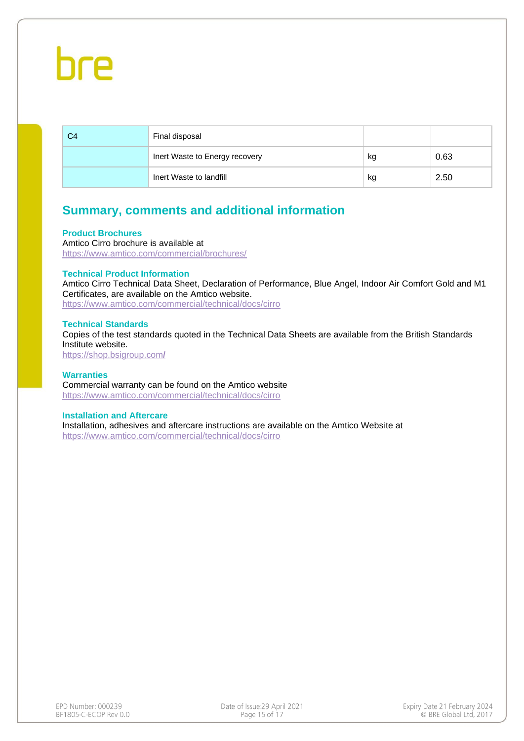| C4 | Final disposal                 |    |      |
|----|--------------------------------|----|------|
|    | Inert Waste to Energy recovery | kg | 0.63 |
|    | Inert Waste to landfill        | kg | 2.50 |

#### **Summary, comments and additional information**

#### **Product Brochures**

Amtico Cirro brochure is available at <https://www.amtico.com/commercial/brochures/>

#### **Technical Product Information**

Amtico Cirro Technical Data Sheet, Declaration of Performance, Blue Angel, Indoor Air Comfort Gold and M1 Certificates, are available on the Amtico website.

<https://www.amtico.com/commercial/technical/docs/cirro>

#### **Technical Standards**

Copies of the test standards quoted in the Technical Data Sheets are available from the British Standards Institute website. [https://shop.bsigroup.com](https://shop.bsigroup.com/)**/**

#### **Warranties** Commercial warranty can be found on the Amtico website <https://www.amtico.com/commercial/technical/docs/cirro>

#### **Installation and Aftercare**

Installation, adhesives and aftercare instructions are available on the Amtico Website at <https://www.amtico.com/commercial/technical/docs/cirro>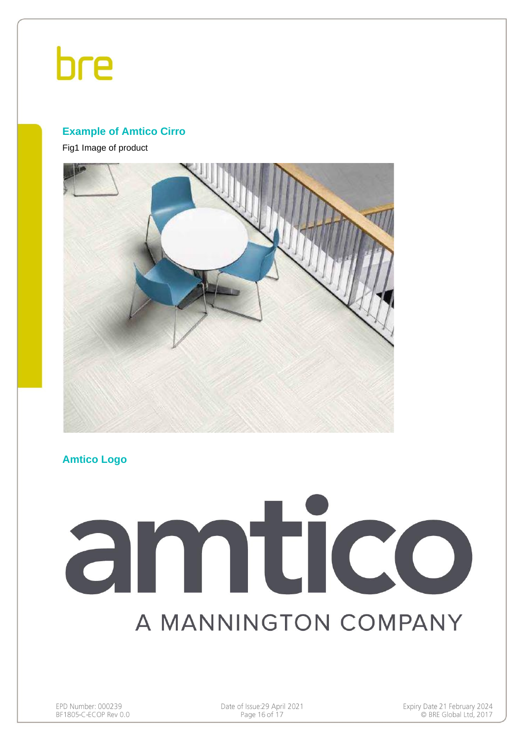#### **Example of Amtico Cirro**

Fig1 Image of product



#### **Amtico Logo**

# amtico A MANNINGTON COMPANY

Date of Issue: 29 April 2021 Page 16 of 17